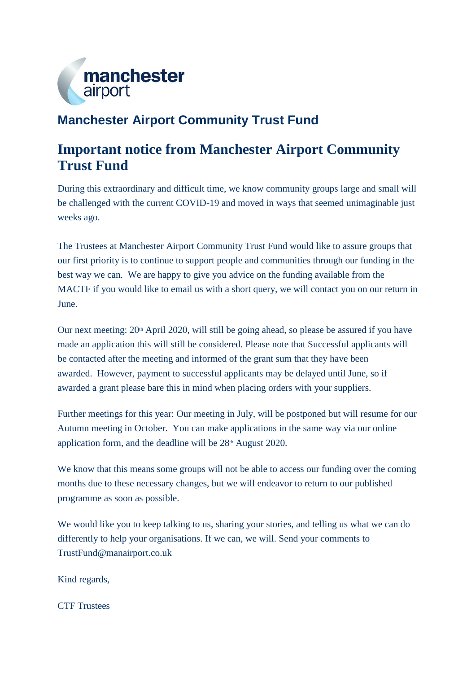

# **Manchester Airport Community Trust Fund**

## **Important notice from Manchester Airport Community Trust Fund**

During this extraordinary and difficult time, we know community groups large and small will be challenged with the current COVID-19 and moved in ways that seemed unimaginable just weeks ago.

The Trustees at Manchester Airport Community Trust Fund would like to assure groups that our first priority is to continue to support people and communities through our funding in the best way we can. We are happy to give you advice on the funding available from the MACTF if you would like to email us with a short query, we will contact you on our return in June.

Our next meeting: 20<sup>th</sup> April 2020, will still be going ahead, so please be assured if you have made an application this will still be considered. Please note that Successful applicants will be contacted after the meeting and informed of the grant sum that they have been awarded. However, payment to successful applicants may be delayed until June, so if awarded a grant please bare this in mind when placing orders with your suppliers.

Further meetings for this year: Our meeting in July, will be postponed but will resume for our Autumn meeting in October. You can make applications in the same way via our online application form, and the deadline will be  $28<sup>th</sup>$  August 2020.

We know that this means some groups will not be able to access our funding over the coming months due to these necessary changes, but we will endeavor to return to our published programme as soon as possible.

We would like you to keep talking to us, sharing your stories, and telling us what we can do differently to help your organisations. If we can, we will. Send your comments to TrustFund@manairport.co.uk

Kind regards,

CTF Trustees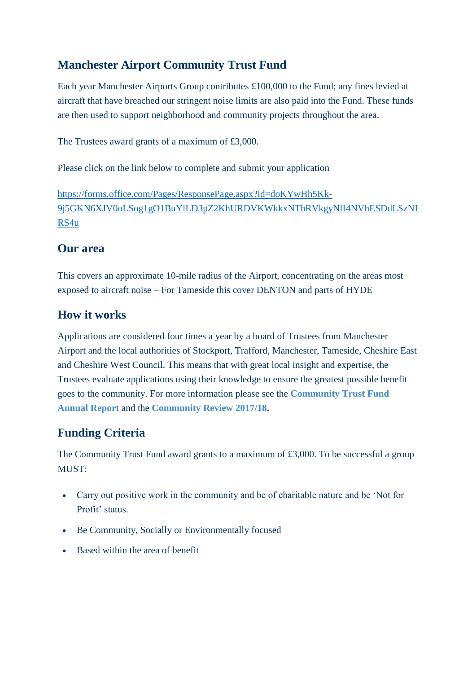## **Manchester Airport Community Trust Fund**

Each year Manchester Airports Group contributes £100,000 to the Fund; any fines levied at aircraft that have breached our stringent noise limits are also paid into the Fund. These funds are then used to support neighborhood and community projects throughout the area.

The Trustees award grants of a maximum of £3,000.

Please click on the link below to complete and submit your application

[https://forms.office.com/Pages/ResponsePage.aspx?id=doKYwHh5Kk-](https://forms.office.com/Pages/ResponsePage.aspx?id=doKYwHh5Kk-9j5GKN6XJV0oLSog1gO1BuYlLD3pZ2KhURDVKWkkxNThRVkgyNlI4NVhESDdLSzNIRS4u)[9j5GKN6XJV0oLSog1gO1BuYlLD3pZ2KhURDVKWkkxNThRVkgyNlI4NVhESDdLSzNI](https://forms.office.com/Pages/ResponsePage.aspx?id=doKYwHh5Kk-9j5GKN6XJV0oLSog1gO1BuYlLD3pZ2KhURDVKWkkxNThRVkgyNlI4NVhESDdLSzNIRS4u) [RS4u](https://forms.office.com/Pages/ResponsePage.aspx?id=doKYwHh5Kk-9j5GKN6XJV0oLSog1gO1BuYlLD3pZ2KhURDVKWkkxNThRVkgyNlI4NVhESDdLSzNIRS4u)

#### **Our area**

This covers an approximate 10-mile radius of the Airport, concentrating on the areas most exposed to aircraft noise – For Tameside this cover DENTON and parts of HYDE

### **How it works**

Applications are considered four times a year by a board of Trustees from Manchester Airport and the local authorities of Stockport, Trafford, Manchester, Tameside, Cheshire East and Cheshire West Council. This means that with great local insight and expertise, the Trustees evaluate applications using their knowledge to ensure the greatest possible benefit goes to the community. For more information please see the **[Community Trust Fund](https://live-webadmin-media.s3.amazonaws.com/media/6483/annual-report-of-the-trustees-2018-19.pdf)  [Annual Report](https://live-webadmin-media.s3.amazonaws.com/media/6483/annual-report-of-the-trustees-2018-19.pdf)** and the **[Community Review 2017/18.](https://live-webadmin-media.s3.amazonaws.com/media/4195/manchester-airport-csr-report-2017-2018-web-version.pdf)**

## **Funding Criteria**

The Community Trust Fund award grants to a maximum of £3,000. To be successful a group MUST:

- Carry out positive work in the community and be of charitable nature and be 'Not for Profit' status.
- Be Community, Socially or Environmentally focused
- Based within the area of benefit